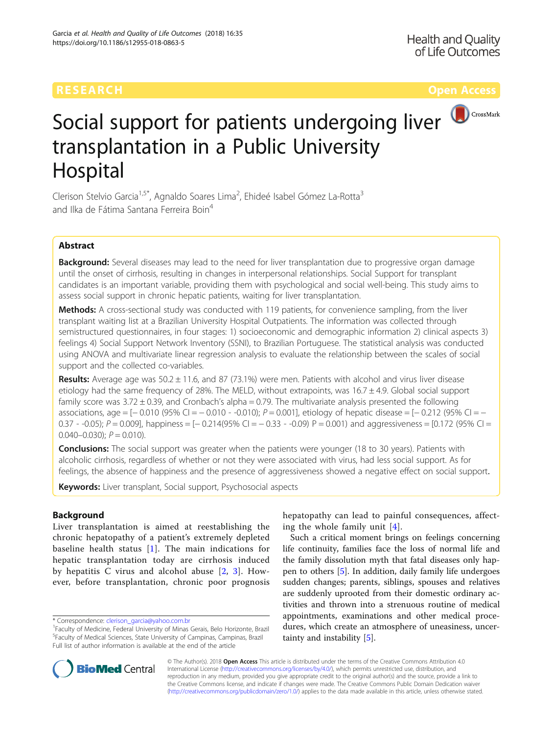

# Social support for patients undergoing liver transplantation in a Public University Hospital

Clerison Stelvio Garcia<sup>1,5\*</sup>, Agnaldo Soares Lima<sup>2</sup>, Ehideé Isabel Gómez La-Rotta<sup>3</sup> and Ilka de Fátima Santana Ferreira Boin<sup>4</sup>

# Abstract

Background: Several diseases may lead to the need for liver transplantation due to progressive organ damage until the onset of cirrhosis, resulting in changes in interpersonal relationships. Social Support for transplant candidates is an important variable, providing them with psychological and social well-being. This study aims to assess social support in chronic hepatic patients, waiting for liver transplantation.

Methods: A cross-sectional study was conducted with 119 patients, for convenience sampling, from the liver transplant waiting list at a Brazilian University Hospital Outpatients. The information was collected through semistructured questionnaires, in four stages: 1) socioeconomic and demographic information 2) clinical aspects 3) feelings 4) Social Support Network Inventory (SSNI), to Brazilian Portuguese. The statistical analysis was conducted using ANOVA and multivariate linear regression analysis to evaluate the relationship between the scales of social support and the collected co-variables.

Results: Average age was  $50.2 \pm 11.6$ , and 87 (73.1%) were men. Patients with alcohol and virus liver disease etiology had the same frequency of 28%. The MELD, without extrapoints, was  $16.7 \pm 4.9$ . Global social support family score was  $3.72 \pm 0.39$ , and Cronbach's alpha = 0.79. The multivariate analysis presented the following associations, age =  $[-0.010 (95\% \text{ C}] = -0.010 - 0.010)$ ; P = 0.001, etiology of hepatic disease =  $[-0.212 (95\% \text{ C}] = -$ 0.37 - -0.05);  $P = 0.009$ ], happiness =  $[-0.214(95\% \text{ Cl} = -0.33 - -0.09) \text{ P} = 0.001)$  and aggressiveness =  $[0.172 \text{ (95\% Cl} =$  $0.040 - 0.030$ ;  $P = 0.010$ ).

**Conclusions:** The social support was greater when the patients were younger (18 to 30 years). Patients with alcoholic cirrhosis, regardless of whether or not they were associated with virus, had less social support. As for feelings, the absence of happiness and the presence of aggressiveness showed a negative effect on social support.

**Keywords:** Liver transplant, Social support, Psychosocial aspects

# Background

Liver transplantation is aimed at reestablishing the chronic hepatopathy of a patient's extremely depleted baseline health status  $[1]$ . The main indications for hepatic transplantation today are cirrhosis induced by hepatitis C virus and alcohol abuse [[2,](#page-6-0) [3](#page-6-0)]. However, before transplantation, chronic poor prognosis

hepatopathy can lead to painful consequences, affecting the whole family unit [[4\]](#page-6-0).

Such a critical moment brings on feelings concerning life continuity, families face the loss of normal life and the family dissolution myth that fatal diseases only happen to others [\[5](#page-6-0)]. In addition, daily family life undergoes sudden changes; parents, siblings, spouses and relatives are suddenly uprooted from their domestic ordinary activities and thrown into a strenuous routine of medical appointments, examinations and other medical procedures, which create an atmosphere of uneasiness, uncertainty and instability [[5](#page-6-0)].



© The Author(s). 2018 Open Access This article is distributed under the terms of the Creative Commons Attribution 4.0 International License [\(http://creativecommons.org/licenses/by/4.0/](http://creativecommons.org/licenses/by/4.0/)), which permits unrestricted use, distribution, and reproduction in any medium, provided you give appropriate credit to the original author(s) and the source, provide a link to the Creative Commons license, and indicate if changes were made. The Creative Commons Public Domain Dedication waiver [\(http://creativecommons.org/publicdomain/zero/1.0/](http://creativecommons.org/publicdomain/zero/1.0/)) applies to the data made available in this article, unless otherwise stated.

<sup>\*</sup> Correspondence: [clerison\\_garcia@yahoo.com.br](mailto:clerison_garcia@yahoo.com.br) <sup>1</sup>

<sup>&</sup>lt;sup>1</sup> Faculty of Medicine, Federal University of Minas Gerais, Belo Horizonte, Brazil <sup>5</sup> Faculty of Medical Sciences, State University of Campinas, Campinas, Brazil Full list of author information is available at the end of the article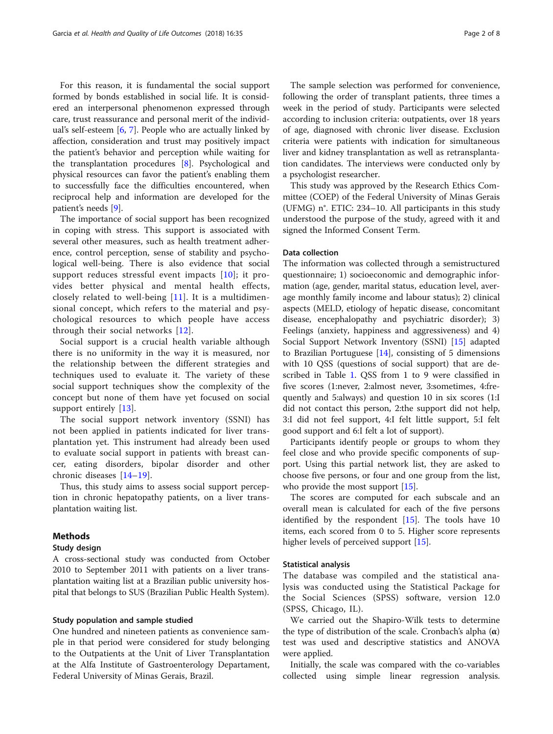For this reason, it is fundamental the social support formed by bonds established in social life. It is considered an interpersonal phenomenon expressed through care, trust reassurance and personal merit of the individual's self-esteem [[6,](#page-6-0) [7\]](#page-6-0). People who are actually linked by affection, consideration and trust may positively impact the patient's behavior and perception while waiting for the transplantation procedures [\[8](#page-6-0)]. Psychological and physical resources can favor the patient's enabling them to successfully face the difficulties encountered, when reciprocal help and information are developed for the patient's needs [\[9](#page-6-0)].

The importance of social support has been recognized in coping with stress. This support is associated with several other measures, such as health treatment adherence, control perception, sense of stability and psychological well-being. There is also evidence that social support reduces stressful event impacts [[10\]](#page-6-0); it provides better physical and mental health effects, closely related to well-being  $[11]$  $[11]$  $[11]$ . It is a multidimensional concept, which refers to the material and psychological resources to which people have access through their social networks [[12\]](#page-6-0).

Social support is a crucial health variable although there is no uniformity in the way it is measured, nor the relationship between the different strategies and techniques used to evaluate it. The variety of these social support techniques show the complexity of the concept but none of them have yet focused on social support entirely [\[13](#page-7-0)].

The social support network inventory (SSNI) has not been applied in patients indicated for liver transplantation yet. This instrument had already been used to evaluate social support in patients with breast cancer, eating disorders, bipolar disorder and other chronic diseases [\[14](#page-7-0)–[19](#page-7-0)].

Thus, this study aims to assess social support perception in chronic hepatopathy patients, on a liver transplantation waiting list.

# Methods

#### Study design

A cross-sectional study was conducted from October 2010 to September 2011 with patients on a liver transplantation waiting list at a Brazilian public university hospital that belongs to SUS (Brazilian Public Health System).

### Study population and sample studied

One hundred and nineteen patients as convenience sample in that period were considered for study belonging to the Outpatients at the Unit of Liver Transplantation at the Alfa Institute of Gastroenterology Departament, Federal University of Minas Gerais, Brazil.

The sample selection was performed for convenience, following the order of transplant patients, three times a week in the period of study. Participants were selected according to inclusion criteria: outpatients, over 18 years of age, diagnosed with chronic liver disease. Exclusion criteria were patients with indication for simultaneous liver and kidney transplantation as well as retransplantation candidates. The interviews were conducted only by a psychologist researcher.

This study was approved by the Research Ethics Committee (COEP) of the Federal University of Minas Gerais (UFMG) n°. ETIC: 234–10. All participants in this study understood the purpose of the study, agreed with it and signed the Informed Consent Term.

# Data collection

The information was collected through a semistructured questionnaire; 1) socioeconomic and demographic information (age, gender, marital status, education level, average monthly family income and labour status); 2) clinical aspects (MELD, etiology of hepatic disease, concomitant disease, encephalopathy and psychiatric disorder); 3) Feelings (anxiety, happiness and aggressiveness) and 4) Social Support Network Inventory (SSNI) [\[15\]](#page-7-0) adapted to Brazilian Portuguese  $[14]$  $[14]$ , consisting of 5 dimensions with 10 QSS (questions of social support) that are described in Table [1.](#page-2-0) QSS from 1 to 9 were classified in five scores (1:never, 2:almost never, 3:sometimes, 4:frequently and 5:always) and question 10 in six scores (1:I did not contact this person, 2:the support did not help, 3:I did not feel support, 4:I felt little support, 5:I felt good support and 6:I felt a lot of support).

Participants identify people or groups to whom they feel close and who provide specific components of support. Using this partial network list, they are asked to choose five persons, or four and one group from the list, who provide the most support [\[15](#page-7-0)].

The scores are computed for each subscale and an overall mean is calculated for each of the five persons identified by the respondent  $[15]$  $[15]$ . The tools have 10 items, each scored from 0 to 5. Higher score represents higher levels of perceived support [\[15\]](#page-7-0).

#### Statistical analysis

The database was compiled and the statistical analysis was conducted using the Statistical Package for the Social Sciences (SPSS) software, version 12.0 (SPSS, Chicago, IL).

We carried out the Shapiro-Wilk tests to determine the type of distribution of the scale. Cronbach's alpha  $(\alpha)$ test was used and descriptive statistics and ANOVA were applied.

Initially, the scale was compared with the co-variables collected using simple linear regression analysis.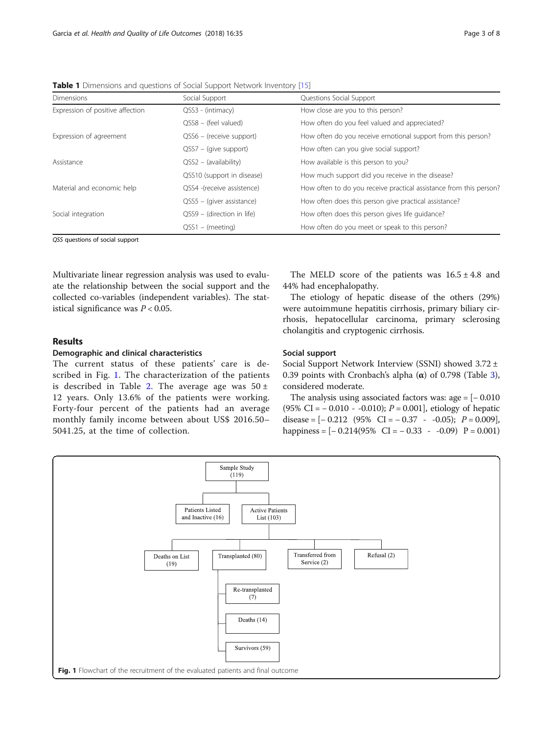<span id="page-2-0"></span>

|  | Table 1 Dimensions and questions of Social Support Network Inventory [15] |  |
|--|---------------------------------------------------------------------------|--|
|  |                                                                           |  |

| Dimensions                       | Social Support              | Questions Social Support                                           |
|----------------------------------|-----------------------------|--------------------------------------------------------------------|
| Expression of positive affection | QSS3 - (intimacy)           | How close are you to this person?                                  |
|                                  | $QSS8 - (feed valued)$      | How often do you feel valued and appreciated?                      |
| Expression of agreement          | $QSS6 -$ (receive support)  | How often do you receive emotional support from this person?       |
|                                  | $QSS7 - (give support)$     | How often can you give social support?                             |
| Assistance                       | $QSS2 - (availability)$     | How available is this person to you?                               |
|                                  | QSS10 (support in disease)  | How much support did you receive in the disease?                   |
| Material and economic help       | QSS4 -(receive assistence)  | How often to do you receive practical assistance from this person? |
|                                  | $QSS5 - (diver assistance)$ | How often does this person give practical assistance?              |
| Social integration               | QSS9 - (direction in life)  | How often does this person gives life quidance?                    |
|                                  | $QSS1 - (meeting)$          | How often do you meet or speak to this person?                     |

QSS questions of social support

Multivariate linear regression analysis was used to evaluate the relationship between the social support and the collected co-variables (independent variables). The statistical significance was  $P < 0.05$ .

# Results

# Demographic and clinical characteristics

The current status of these patients' care is described in Fig. 1. The characterization of the patients is described in Table [2.](#page-3-0) The average age was  $50 \pm$ 12 years. Only 13.6% of the patients were working. Forty-four percent of the patients had an average monthly family income between about US\$ 2016.50– 5041.25, at the time of collection.

The MELD score of the patients was  $16.5 \pm 4.8$  and 44% had encephalopathy.

The etiology of hepatic disease of the others (29%) were autoimmune hepatitis cirrhosis, primary biliary cirrhosis, hepatocellular carcinoma, primary sclerosing cholangitis and cryptogenic cirrhosis.

## Social support

Social Support Network Interview (SSNI) showed 3.72 ± 0.39 points with Cronbach's alpha (α) of 0.798 (Table [3](#page-3-0)), considered moderate.

The analysis using associated factors was:  $age = [-0.010]$ (95% CI =  $-0.010 - 0.010$ );  $P = 0.001$ , etiology of hepatic disease =  $[-0.212 \ (95\% \ CI = -0.37 \ -0.05); P = 0.009]$ , happiness =  $[-0.214(95\% \text{ CI} = -0.33 \text{ - } -0.09) \text{ P} = 0.001)$ 

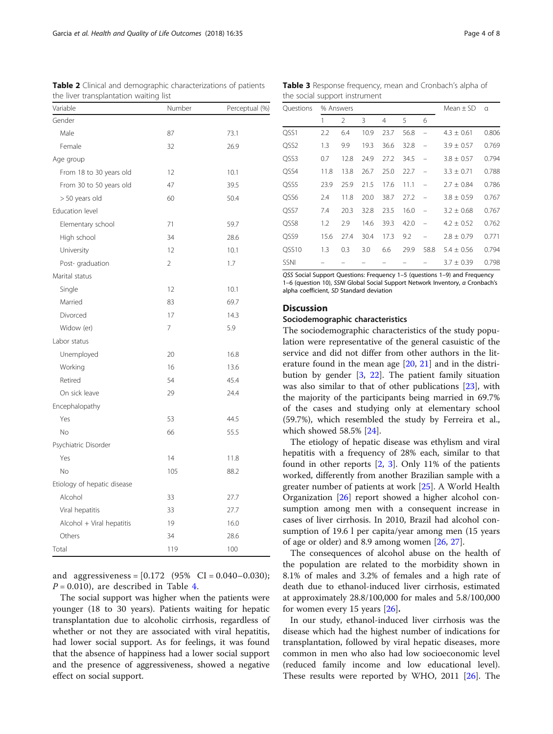and aggressiveness =  $[0.172 \ (95\% \ CI = 0.040 - 0.030);$  $P = 0.010$ , are described in Table [4.](#page-4-0)

The social support was higher when the patients were younger (18 to 30 years). Patients waiting for hepatic transplantation due to alcoholic cirrhosis, regardless of whether or not they are associated with viral hepatitis, had lower social support. As for feelings, it was found that the absence of happiness had a lower social support and the presence of aggressiveness, showed a negative effect on social support.

QSS Social Support Questions: Frequency 1–5 (questions 1–9) and Frequency 1–6 (question 10), SSNI Global Social Support Network Inventory, α Cronbach's alpha coefficient, SD Standard deviation

# **Discussion**

# Sociodemographic characteristics

The sociodemographic characteristics of the study population were representative of the general casuistic of the service and did not differ from other authors in the literature found in the mean age [\[20,](#page-7-0) [21](#page-7-0)] and in the distribution by gender [[3,](#page-6-0) [22\]](#page-7-0). The patient family situation was also similar to that of other publications [[23](#page-7-0)], with the majority of the participants being married in 69.7% of the cases and studying only at elementary school (59.7%), which resembled the study by Ferreira et al., which showed 58.5% [[24](#page-7-0)].

The etiology of hepatic disease was ethylism and viral hepatitis with a frequency of 28% each, similar to that found in other reports [[2,](#page-6-0) [3](#page-6-0)]. Only 11% of the patients worked, differently from another Brazilian sample with a greater number of patients at work [[25\]](#page-7-0). A World Health Organization [[26](#page-7-0)] report showed a higher alcohol consumption among men with a consequent increase in cases of liver cirrhosis. In 2010, Brazil had alcohol consumption of 19.6 l per capita/year among men (15 years of age or older) and 8.9 among women [[26](#page-7-0), [27](#page-7-0)].

The consequences of alcohol abuse on the health of the population are related to the morbidity shown in 8.1% of males and 3.2% of females and a high rate of death due to ethanol-induced liver cirrhosis, estimated at approximately 28.8/100,000 for males and 5.8/100,000 for women every 15 years [\[26\]](#page-7-0).

In our study, ethanol-induced liver cirrhosis was the disease which had the highest number of indications for transplantation, followed by viral hepatic diseases, more common in men who also had low socioeconomic level (reduced family income and low educational level). These results were reported by WHO, 2011 [[26](#page-7-0)]. The

<span id="page-3-0"></span>

| <b>Table 2</b> Clinical and demographic characterizations of patients |
|-----------------------------------------------------------------------|
| the liver transplantation waiting list                                |

| <b>Table 3</b> Response frequency, mean and Cronbach's alpha of |               |          |
|-----------------------------------------------------------------|---------------|----------|
| the social support instrument                                   |               |          |
| Ouestions % Answers                                             | Mean $\pm$ SD | $\alpha$ |

QSS1 2.2 6.4 10.9 23.7 56.8 – 4.3 ± 0.61 0.806 QSS2 1.3 9.9 19.3 36.6 32.8 – 3.9 ± 0.57 0.769 QSS3 0.7 12.8 24.9 27.2 34.5 – 3.8 ± 0.57 0.794  $\overline{Q}$ SS4 11.8 13.8 26.7 25.0 22.7 – 3.3 ± 0.71 0.788 QSS5 23.9 25.9 21.5 17.6 11.1 – 2.7 ± 0.84 0.786 QSS6 2.4 11.8 20.0 38.7 27.2 - 3.8 ± 0.59 0.767 QSS7 7.4 20.3 32.8 23.5 16.0 – 3.2 ± 0.68 0.767 QSS8 1.2 2.9 14.6 39.3 42.0 – 4.2 ± 0.52 0.762 QSS9 15.6 27.4 30.4 17.3 9.2 – 2.8 ± 0.79 0.771 QSS10 1.3 0.3 3.0 6.6 29.9 58.8 5.4 ± 0.56 0.794 SSNI – – – – – – 3.7 ± 0.39 0.798

123456

| Variable                    | Number | Perceptual (%) |
|-----------------------------|--------|----------------|
| Gender                      |        |                |
| Male                        | 87     | 73.1           |
| Female                      | 32     | 26.9           |
| Age group                   |        |                |
| From 18 to 30 years old     | 12     | 10.1           |
| From 30 to 50 years old     | 47     | 39.5           |
| > 50 years old              | 60     | 50.4           |
| Education level             |        |                |
| Elementary school           | 71     | 59.7           |
| High school                 | 34     | 28.6           |
| University                  | 12     | 10.1           |
| Post-graduation             | 2      | 1.7            |
| Marital status              |        |                |
| Single                      | 12     | 10.1           |
| Married                     | 83     | 69.7           |
| Divorced                    | 17     | 14.3           |
| Widow (er)                  | 7      | 5.9            |
| Labor status                |        |                |
| Unemployed                  | 20     | 16.8           |
| Working                     | 16     | 13.6           |
| Retired                     | 54     | 45.4           |
| On sick leave               | 29     | 24.4           |
| Encephalopathy              |        |                |
| Yes                         | 53     | 44.5           |
| No                          | 66     | 55.5           |
| Psychiatric Disorder        |        |                |
| Yes                         | 14     | 11.8           |
| No                          | 105    | 88.2           |
| Etiology of hepatic disease |        |                |
| Alcohol                     | 33     | 27.7           |
| Viral hepatitis             | 33     | 27.7           |
| Alcohol + Viral hepatitis   | 19     | 16.0           |
| Others                      | 34     | 28.6           |
| Total                       | 119    | 100            |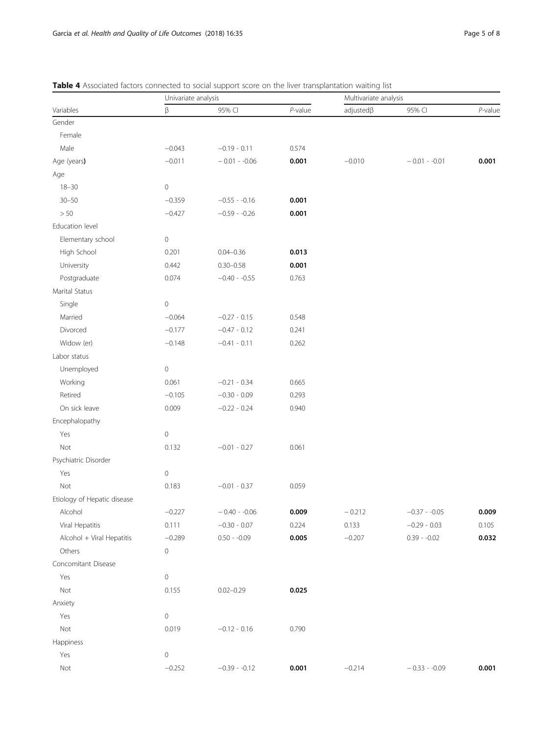|                             | Univariate analysis |                 |            | Multivariate analysis |                 |            |  |
|-----------------------------|---------------------|-----------------|------------|-----------------------|-----------------|------------|--|
| Variables                   | β                   | 95% CI          | $P$ -value | $adjusted\beta$       | 95% CI          | $P$ -value |  |
| Gender                      |                     |                 |            |                       |                 |            |  |
| Female                      |                     |                 |            |                       |                 |            |  |
| Male                        | $-0.043$            | $-0.19 - 0.11$  | 0.574      |                       |                 |            |  |
| Age (years)                 | $-0.011$            | $-0.01 - -0.06$ | 0.001      | $-0.010$              | $-0.01 - -0.01$ | 0.001      |  |
| Age                         |                     |                 |            |                       |                 |            |  |
| $18 - 30$                   | $\mathbf 0$         |                 |            |                       |                 |            |  |
| $30 - 50$                   | $-0.359$            | $-0.55 - -0.16$ | 0.001      |                       |                 |            |  |
| $>50\,$                     | $-0.427$            | $-0.59 - 0.26$  | 0.001      |                       |                 |            |  |
| Education level             |                     |                 |            |                       |                 |            |  |
| Elementary school           | $\circ$             |                 |            |                       |                 |            |  |
| High School                 | 0.201               | $0.04 - 0.36$   | 0.013      |                       |                 |            |  |
| University                  | 0.442               | $0.30 - 0.58$   | 0.001      |                       |                 |            |  |
| Postgraduate                | 0.074               | $-0.40 - 0.55$  | 0.763      |                       |                 |            |  |
| Marital Status              |                     |                 |            |                       |                 |            |  |
| Single                      | $\mathbb O$         |                 |            |                       |                 |            |  |
| Married                     | $-0.064$            | $-0.27 - 0.15$  | 0.548      |                       |                 |            |  |
| Divorced                    | $-0.177$            | $-0.47 - 0.12$  | 0.241      |                       |                 |            |  |
| Widow (er)                  | $-0.148$            | $-0.41 - 0.11$  | 0.262      |                       |                 |            |  |
| Labor status                |                     |                 |            |                       |                 |            |  |
| Unemployed                  | $\circ$             |                 |            |                       |                 |            |  |
| Working                     | 0.061               | $-0.21 - 0.34$  | 0.665      |                       |                 |            |  |
| Retired                     | $-0.105$            | $-0.30 - 0.09$  | 0.293      |                       |                 |            |  |
| On sick leave               | 0.009               | $-0.22 - 0.24$  | 0.940      |                       |                 |            |  |
| Encephalopathy              |                     |                 |            |                       |                 |            |  |
| Yes                         | $\mathbf 0$         |                 |            |                       |                 |            |  |
| Not                         | 0.132               | $-0.01 - 0.27$  | 0.061      |                       |                 |            |  |
| Psychiatric Disorder        |                     |                 |            |                       |                 |            |  |
| Yes                         | $\mathbf 0$         |                 |            |                       |                 |            |  |
| Not                         | 0.183               | $-0.01 - 0.37$  | 0.059      |                       |                 |            |  |
| Etiology of Hepatic disease |                     |                 |            |                       |                 |            |  |
| Alcohol                     | $-0.227$            | $-0.40 - 0.06$  | 0.009      | $-0.212$              | $-0.37 - 0.05$  | 0.009      |  |
| Viral Hepatitis             | 0.111               | $-0.30 - 0.07$  | 0.224      | 0.133                 | $-0.29 - 0.03$  | 0.105      |  |
| Alcohol + Viral Hepatitis   | $-0.289$            | $0.50 - 0.09$   | 0.005      | $-0.207$              | $0.39 - 0.02$   | 0.032      |  |
| Others                      | $\mathsf{O}\xspace$ |                 |            |                       |                 |            |  |
| Concomitant Disease         |                     |                 |            |                       |                 |            |  |
| Yes                         | $\mathbf 0$         |                 |            |                       |                 |            |  |
| Not                         | 0.155               | $0.02 - 0.29$   | 0.025      |                       |                 |            |  |
| Anxiety                     |                     |                 |            |                       |                 |            |  |
| Yes                         | $\mathbf 0$         |                 |            |                       |                 |            |  |
| Not                         | 0.019               | $-0.12 - 0.16$  | 0.790      |                       |                 |            |  |
| Happiness                   |                     |                 |            |                       |                 |            |  |
| Yes                         | $\mathbf 0$         |                 |            |                       |                 |            |  |
| Not                         | $-0.252$            | $-0.39 - 0.12$  | 0.001      | $-0.214$              | $-0.33 - 0.09$  | 0.001      |  |
|                             |                     |                 |            |                       |                 |            |  |

<span id="page-4-0"></span>

|  |  | Table 4 Associated factors connected to social support score on the liver transplantation waiting list |  |  |
|--|--|--------------------------------------------------------------------------------------------------------|--|--|
|--|--|--------------------------------------------------------------------------------------------------------|--|--|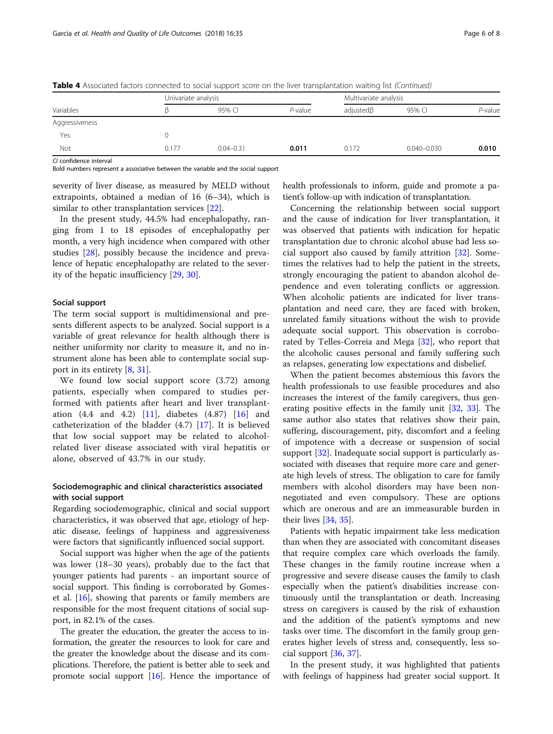|                | Univariate analysis |               |            | Multivariate analysis |                 |         |
|----------------|---------------------|---------------|------------|-----------------------|-----------------|---------|
| Variables      |                     | 95% CI        | $P$ -value | adjustedß             | 95% CI          | P-value |
| Aggressiveness |                     |               |            |                       |                 |         |
| Yes            |                     |               |            |                       |                 |         |
| Not            | 0.177               | $0.04 - 0.31$ | 0.011      | 0.172                 | $0.040 - 0.030$ | 0.010   |

Table 4 Associated factors connected to social support score on the liver transplantation waiting list (Continued)

CI confidence interval

Bold numbers represent a associative between the variable and the social support

severity of liver disease, as measured by MELD without extrapoints, obtained a median of 16 (6–34), which is similar to other transplantation services [[22\]](#page-7-0).

In the present study, 44.5% had encephalopathy, ranging from 1 to 18 episodes of encephalopathy per month, a very high incidence when compared with other studies [\[28](#page-7-0)], possibly because the incidence and prevalence of hepatic encephalopathy are related to the severity of the hepatic insufficiency [[29,](#page-7-0) [30\]](#page-7-0).

## Social support

The term social support is multidimensional and presents different aspects to be analyzed. Social support is a variable of great relevance for health although there is neither uniformity nor clarity to measure it, and no instrument alone has been able to contemplate social support in its entirety [[8](#page-6-0), [31](#page-7-0)].

We found low social support score (3.72) among patients, especially when compared to studies performed with patients after heart and liver transplantation (4.4 and 4.2) [[11\]](#page-6-0), diabetes (4.87) [[16\]](#page-7-0) and catheterization of the bladder (4.7) [[17\]](#page-7-0). It is believed that low social support may be related to alcoholrelated liver disease associated with viral hepatitis or alone, observed of 43.7% in our study.

# Sociodemographic and clinical characteristics associated with social support

Regarding sociodemographic, clinical and social support characteristics, it was observed that age, etiology of hepatic disease, feelings of happiness and aggressiveness were factors that significantly influenced social support.

Social support was higher when the age of the patients was lower (18–30 years), probably due to the fact that younger patients had parents - an important source of social support. This finding is corroborated by Gomeset al. [\[16](#page-7-0)], showing that parents or family members are responsible for the most frequent citations of social support, in 82.1% of the cases.

The greater the education, the greater the access to information, the greater the resources to look for care and the greater the knowledge about the disease and its complications. Therefore, the patient is better able to seek and promote social support [[16\]](#page-7-0). Hence the importance of health professionals to inform, guide and promote a patient's follow-up with indication of transplantation.

Concerning the relationship between social support and the cause of indication for liver transplantation, it was observed that patients with indication for hepatic transplantation due to chronic alcohol abuse had less social support also caused by family attrition [\[32\]](#page-7-0). Sometimes the relatives had to help the patient in the streets, strongly encouraging the patient to abandon alcohol dependence and even tolerating conflicts or aggression. When alcoholic patients are indicated for liver transplantation and need care, they are faced with broken, unrelated family situations without the wish to provide adequate social support. This observation is corroborated by Telles-Correia and Mega [\[32](#page-7-0)], who report that the alcoholic causes personal and family suffering such as relapses, generating low expectations and disbelief.

When the patient becomes abstemious this favors the health professionals to use feasible procedures and also increases the interest of the family caregivers, thus generating positive effects in the family unit [[32](#page-7-0), [33\]](#page-7-0). The same author also states that relatives show their pain, suffering, discouragement, pity, discomfort and a feeling of impotence with a decrease or suspension of social support [\[32](#page-7-0)]. Inadequate social support is particularly associated with diseases that require more care and generate high levels of stress. The obligation to care for family members with alcohol disorders may have been nonnegotiated and even compulsory. These are options which are onerous and are an immeasurable burden in their lives [[34,](#page-7-0) [35](#page-7-0)].

Patients with hepatic impairment take less medication than when they are associated with concomitant diseases that require complex care which overloads the family. These changes in the family routine increase when a progressive and severe disease causes the family to clash especially when the patient's disabilities increase continuously until the transplantation or death. Increasing stress on caregivers is caused by the risk of exhaustion and the addition of the patient's symptoms and new tasks over time. The discomfort in the family group generates higher levels of stress and, consequently, less social support [\[36](#page-7-0), [37\]](#page-7-0).

In the present study, it was highlighted that patients with feelings of happiness had greater social support. It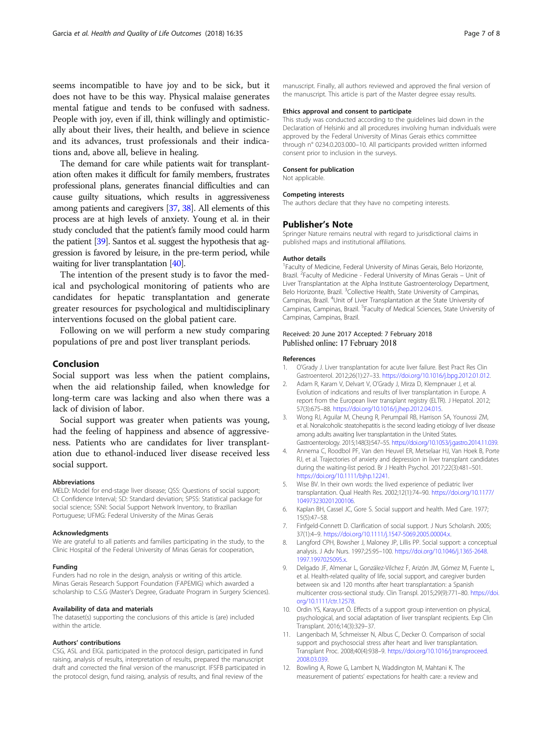<span id="page-6-0"></span>seems incompatible to have joy and to be sick, but it does not have to be this way. Physical malaise generates mental fatigue and tends to be confused with sadness. People with joy, even if ill, think willingly and optimistically about their lives, their health, and believe in science and its advances, trust professionals and their indications and, above all, believe in healing.

The demand for care while patients wait for transplantation often makes it difficult for family members, frustrates professional plans, generates financial difficulties and can cause guilty situations, which results in aggressiveness among patients and caregivers [\[37](#page-7-0), [38\]](#page-7-0). All elements of this process are at high levels of anxiety. Young et al. in their study concluded that the patient's family mood could harm the patient [\[39\]](#page-7-0). Santos et al. suggest the hypothesis that aggression is favored by leisure, in the pre-term period, while waiting for liver transplantation [[40\]](#page-7-0).

The intention of the present study is to favor the medical and psychological monitoring of patients who are candidates for hepatic transplantation and generate greater resources for psychological and multidisciplinary interventions focused on the global patient care.

Following on we will perform a new study comparing populations of pre and post liver transplant periods.

# Conclusion

Social support was less when the patient complains, when the aid relationship failed, when knowledge for long-term care was lacking and also when there was a lack of division of labor.

Social support was greater when patients was young, had the feeling of happiness and absence of aggressiveness. Patients who are candidates for liver transplantation due to ethanol-induced liver disease received less social support.

#### Abbreviations

MELD: Model for end-stage liver disease; QSS: Questions of social support; CI: Confidence Interval; SD: Standard deviation; SPSS: Statistical package for social science; SSNI: Social Support Network Inventory, to Brazilian Portuguese; UFMG: Federal University of the Minas Gerais

#### Acknowledgments

We are grateful to all patients and families participating in the study, to the Clinic Hospital of the Federal University of Minas Gerais for cooperation,

#### Funding

Funders had no role in the design, analysis or writing of this article. Minas Gerais Research Support Foundation (FAPEMIG) which awarded a scholarship to C.S.G (Master's Degree, Graduate Program in Surgery Sciences).

#### Availability of data and materials

The dataset(s) supporting the conclusions of this article is (are) included within the article.

#### Authors' contributions

CSG, ASL and EIGL participated in the protocol design, participated in fund raising, analysis of results, interpretation of results, prepared the manuscript draft and corrected the final version of the manuscript. IFSFB participated in the protocol design, fund raising, analysis of results, and final review of the

manuscript. Finally, all authors reviewed and approved the final version of the manuscript. This article is part of the Master degree essay results.

#### Ethics approval and consent to participate

This study was conducted according to the guidelines laid down in the Declaration of Helsinki and all procedures involving human individuals were approved by the Federal University of Minas Gerais ethics committee through n° 0234.0.203.000–10. All participants provided written informed consent prior to inclusion in the surveys.

#### Consent for publication

Not applicable.

#### Competing interests

The authors declare that they have no competing interests.

#### Publisher's Note

Springer Nature remains neutral with regard to jurisdictional claims in published maps and institutional affiliations.

#### Author details

<sup>1</sup> Faculty of Medicine, Federal University of Minas Gerais, Belo Horizonte Brazil.<sup>2</sup> Faculty of Medicine - Federal University of Minas Gerais - Unit of Liver Transplantation at the Alpha Institute Gastroenterology Department, Belo Horizonte, Brazil. <sup>3</sup>Collective Health, State University of Campinas Campinas, Brazil. <sup>4</sup>Unit of Liver Transplantation at the State University of Campinas, Campinas, Brazil. <sup>5</sup>Faculty of Medical Sciences, State University of Campinas, Campinas, Brazil.

## Received: 20 June 2017 Accepted: 7 February 2018 Published online: 17 February 2018

#### References

- 1. O'Grady J. Liver transplantation for acute liver failure. Best Pract Res Clin Gastroenterol. 2012;26(1):27–33. [https://doi.org/10.1016/j.bpg.2012.01.012.](https://doi.org/10.1016/j.bpg.2012.01.012)
- 2. Adam R, Karam V, Delvart V, O'Grady J, Mirza D, Klempnauer J, et al. Evolution of indications and results of liver transplantation in Europe. A report from the European liver transplant registry (ELTR). J Hepatol. 2012; 57(3):675–88. <https://doi.org/10.1016/j.jhep.2012.04.015>.
- 3. Wong RJ, Aguilar M, Cheung R, Perumpail RB, Harrison SA, Younossi ZM, et al. Nonalcoholic steatohepatitis is the second leading etiology of liver disease among adults awaiting liver transplantation in the United States. Gastroenterology. 2015;148(3):547–55. [https://doi.org/10.1053/j.gastro.2014.11.039.](https://doi.org/10.1053/j.gastro.2014.11.039)
- 4. Annema C, Roodbol PF, Van den Heuvel ER, Metselaar HJ, Van Hoek B, Porte RJ, et al. Trajectories of anxiety and depression in liver transplant candidates during the waiting-list period. Br J Health Psychol. 2017;22(3):481–501. <https://doi.org/10.1111/bjhp.12241>.
- Wise BV. In their own words: the lived experience of pediatric liver transplantation. Qual Health Res. 2002;12(1):74–90. [https://doi.org/10.1177/](https://doi.org/10.1177/104973230201200106) [104973230201200106](https://doi.org/10.1177/104973230201200106).
- 6. Kaplan BH, Cassel JC, Gore S. Social support and health. Med Care. 1977; 15(5):47–58.
- 7. Finfgeld-Connett D. Clarification of social support. J Nurs Scholarsh. 2005; 37(1):4–9. <https://doi.org/10.1111/j.1547-5069.2005.00004.x>.
- 8. Langford CPH, Bowsher J, Maloney JP, Lillis PP. Social support: a conceptual analysis. J Adv Nurs. 1997;25:95–100. [https://doi.org/10.1046/j.1365-2648.](https://doi.org/10.1046/j.1365-2648.1997.1997025095.x) [1997.1997025095.x.](https://doi.org/10.1046/j.1365-2648.1997.1997025095.x)
- 9. Delgado JF, Almenar L, González-Vilchez F, Arizón JM, Gómez M, Fuente L, et al. Health-related quality of life, social support, and caregiver burden between six and 120 months after heart transplantation: a Spanish multicenter cross-sectional study. Clin Transpl. 2015;29(9):771–80. [https://doi.](https://doi.org/10.1111/ctr.12578) [org/10.1111/ctr.12578.](https://doi.org/10.1111/ctr.12578)
- 10. Ordin YS, Karayurt Ö. Effects of a support group intervention on physical, psychological, and social adaptation of liver transplant recipients. Exp Clin Transplant. 2016;14(3):329–37.
- 11. Langenbach M, Schmeisser N, Albus C, Decker O. Comparison of social support and psychosocial stress after heart and liver transplantation. Transplant Proc. 2008;40(4):938–9. [https://doi.org/10.1016/j.transproceed.](https://doi.org/10.1016/j.transproceed.2008.03.039) [2008.03.039.](https://doi.org/10.1016/j.transproceed.2008.03.039)
- 12. Bowling A, Rowe G, Lambert N, Waddington M, Mahtani K. The measurement of patients' expectations for health care: a review and